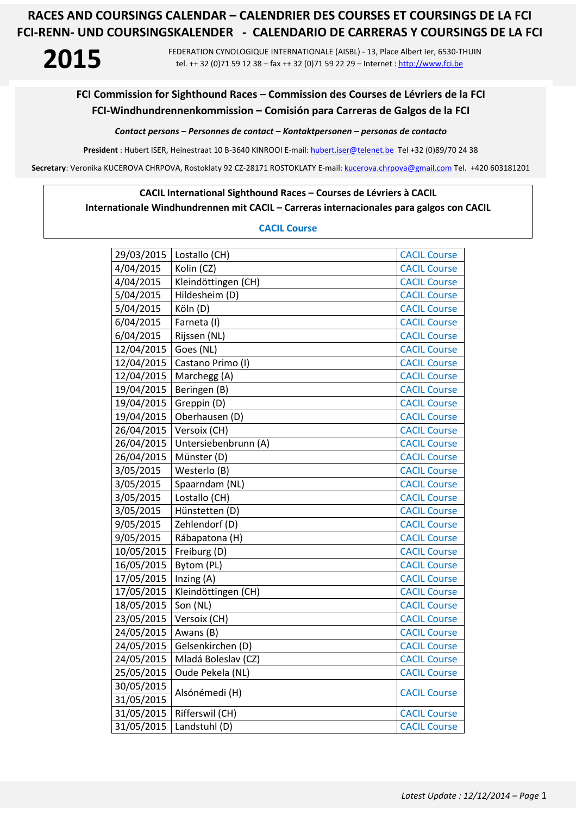**2015** FEDERATION CYNOLOGIQUE INTERNATIONALE (AISBL) - 13, Place Albert Ier, 6530-THUIN tel. ++ 32 (0)71 59 12 38 – fax ++ 32 (0)71 59 22 29 – Internet : http://www.fci.be

## **FCI Commission for Sighthound Races – Commission des Courses de Lévriers de la FCI FCI-Windhundrennenkommission – Comisión para Carreras de Galgos de la FCI**

*Contact persons – Personnes de contact – Kontaktpersonen – personas de contacto* 

**President** : Hubert ISER, Heinestraat 10 B-3640 KINROOI E-mail: hubert.iser@telenet.be Tel +32 (0)89/70 24 38

**Secretary**: Veronika KUCEROVA CHRPOVA, Rostoklaty 92 CZ-28171 ROSTOKLATY E-mail: kucerova.chrpova@gmail.com Tel. +420 603181201

### **CACIL International Sighthound Races – Courses de Lévriers à CACIL**

**Internationale Windhundrennen mit CACIL – Carreras internacionales para galgos con CACIL** 

### **CACIL Course**

| 29/03/2015 | Lostallo (CH)        | <b>CACIL Course</b> |
|------------|----------------------|---------------------|
| 4/04/2015  | Kolin (CZ)           | <b>CACIL Course</b> |
| 4/04/2015  | Kleindöttingen (CH)  | <b>CACIL Course</b> |
| 5/04/2015  | Hildesheim (D)       | <b>CACIL Course</b> |
| 5/04/2015  | Köln (D)             | <b>CACIL Course</b> |
| 6/04/2015  | Farneta (I)          | <b>CACIL Course</b> |
| 6/04/2015  | Rijssen (NL)         | <b>CACIL Course</b> |
| 12/04/2015 | Goes (NL)            | <b>CACIL Course</b> |
| 12/04/2015 | Castano Primo (I)    | <b>CACIL Course</b> |
| 12/04/2015 | Marchegg (A)         | <b>CACIL Course</b> |
| 19/04/2015 | Beringen (B)         | <b>CACIL Course</b> |
| 19/04/2015 | Greppin (D)          | <b>CACIL Course</b> |
| 19/04/2015 | Oberhausen (D)       | <b>CACIL Course</b> |
| 26/04/2015 | Versoix (CH)         | <b>CACIL Course</b> |
| 26/04/2015 | Untersiebenbrunn (A) | <b>CACIL Course</b> |
| 26/04/2015 | Münster (D)          | <b>CACIL Course</b> |
| 3/05/2015  | Westerlo (B)         | <b>CACIL Course</b> |
| 3/05/2015  | Spaarndam (NL)       | <b>CACIL Course</b> |
| 3/05/2015  | Lostallo (CH)        | <b>CACIL Course</b> |
| 3/05/2015  | Hünstetten (D)       | <b>CACIL Course</b> |
| 9/05/2015  | Zehlendorf (D)       | <b>CACIL Course</b> |
| 9/05/2015  | Rábapatona (H)       | <b>CACIL Course</b> |
| 10/05/2015 | Freiburg (D)         | <b>CACIL Course</b> |
| 16/05/2015 | Bytom (PL)           | <b>CACIL Course</b> |
| 17/05/2015 | Inzing (A)           | <b>CACIL Course</b> |
| 17/05/2015 | Kleindöttingen (CH)  | <b>CACIL Course</b> |
| 18/05/2015 | Son (NL)             | <b>CACIL Course</b> |
| 23/05/2015 | Versoix (CH)         | <b>CACIL Course</b> |
| 24/05/2015 | Awans (B)            | <b>CACIL Course</b> |
| 24/05/2015 | Gelsenkirchen (D)    | <b>CACIL Course</b> |
| 24/05/2015 | Mladá Boleslav (CZ)  | <b>CACIL Course</b> |
| 25/05/2015 | Oude Pekela (NL)     | <b>CACIL Course</b> |
| 30/05/2015 |                      |                     |
| 31/05/2015 | Alsónémedi (H)       | <b>CACIL Course</b> |
| 31/05/2015 | Rifferswil (CH)      | <b>CACIL Course</b> |
| 31/05/2015 | Landstuhl (D)        | <b>CACIL Course</b> |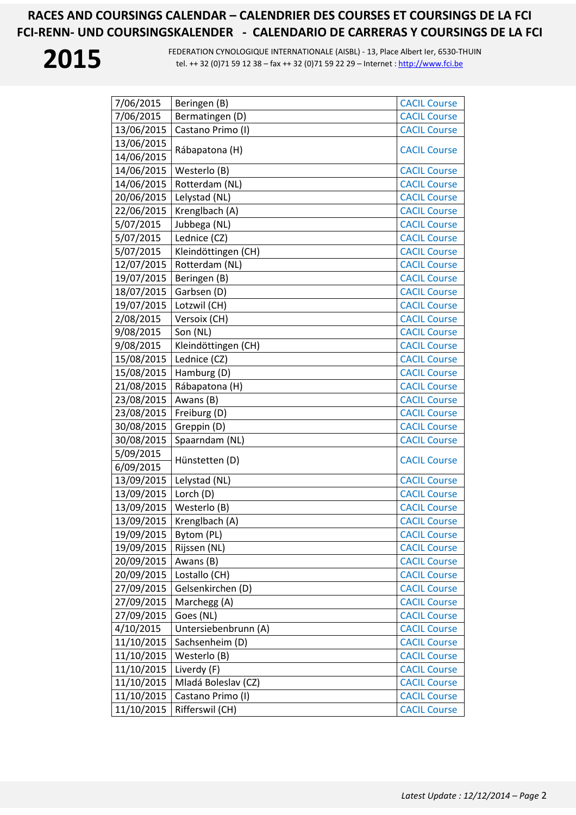

| 7/06/2015  | Beringen (B)         | <b>CACIL Course</b> |
|------------|----------------------|---------------------|
| 7/06/2015  | Bermatingen (D)      | <b>CACIL Course</b> |
| 13/06/2015 | Castano Primo (I)    | <b>CACIL Course</b> |
| 13/06/2015 |                      |                     |
| 14/06/2015 | Rábapatona (H)       | <b>CACIL Course</b> |
| 14/06/2015 | Westerlo (B)         | <b>CACIL Course</b> |
| 14/06/2015 | Rotterdam (NL)       | <b>CACIL Course</b> |
| 20/06/2015 | Lelystad (NL)        | <b>CACIL Course</b> |
| 22/06/2015 | Krenglbach (A)       | <b>CACIL Course</b> |
| 5/07/2015  | Jubbega (NL)         | <b>CACIL Course</b> |
| 5/07/2015  | Lednice (CZ)         | <b>CACIL Course</b> |
| 5/07/2015  | Kleindöttingen (CH)  | <b>CACIL Course</b> |
| 12/07/2015 | Rotterdam (NL)       | <b>CACIL Course</b> |
| 19/07/2015 | Beringen (B)         | <b>CACIL Course</b> |
| 18/07/2015 | Garbsen (D)          | <b>CACIL Course</b> |
| 19/07/2015 | Lotzwil (CH)         | <b>CACIL Course</b> |
| 2/08/2015  | Versoix (CH)         | <b>CACIL Course</b> |
| 9/08/2015  | Son (NL)             | <b>CACIL Course</b> |
| 9/08/2015  | Kleindöttingen (CH)  | <b>CACIL Course</b> |
| 15/08/2015 | Lednice (CZ)         | <b>CACIL Course</b> |
| 15/08/2015 | Hamburg (D)          | <b>CACIL Course</b> |
| 21/08/2015 | Rábapatona (H)       | <b>CACIL Course</b> |
| 23/08/2015 | Awans (B)            | <b>CACIL Course</b> |
| 23/08/2015 | Freiburg (D)         | <b>CACIL Course</b> |
| 30/08/2015 | Greppin (D)          | <b>CACIL Course</b> |
| 30/08/2015 | Spaarndam (NL)       | <b>CACIL Course</b> |
| 5/09/2015  |                      |                     |
| 6/09/2015  | Hünstetten (D)       | <b>CACIL Course</b> |
| 13/09/2015 | Lelystad (NL)        | <b>CACIL Course</b> |
| 13/09/2015 | Lorch (D)            | <b>CACIL Course</b> |
| 13/09/2015 | Westerlo (B)         | <b>CACIL Course</b> |
| 13/09/2015 | Krenglbach (A)       | <b>CACIL Course</b> |
| 19/09/2015 | Bytom (PL)           | <b>CACIL Course</b> |
| 19/09/2015 | Rijssen (NL)         | <b>CACIL Course</b> |
| 20/09/2015 | Awans (B)            | <b>CACIL Course</b> |
| 20/09/2015 | Lostallo (CH)        | <b>CACIL Course</b> |
| 27/09/2015 | Gelsenkirchen (D)    | <b>CACIL Course</b> |
| 27/09/2015 | Marchegg (A)         | <b>CACIL Course</b> |
| 27/09/2015 | Goes (NL)            | <b>CACIL Course</b> |
| 4/10/2015  | Untersiebenbrunn (A) | <b>CACIL Course</b> |
| 11/10/2015 | Sachsenheim (D)      | <b>CACIL Course</b> |
| 11/10/2015 | Westerlo (B)         | <b>CACIL Course</b> |
| 11/10/2015 | Liverdy (F)          | <b>CACIL Course</b> |
| 11/10/2015 | Mladá Boleslav (CZ)  | <b>CACIL Course</b> |
| 11/10/2015 | Castano Primo (I)    | <b>CACIL Course</b> |
| 11/10/2015 | Rifferswil (CH)      | <b>CACIL Course</b> |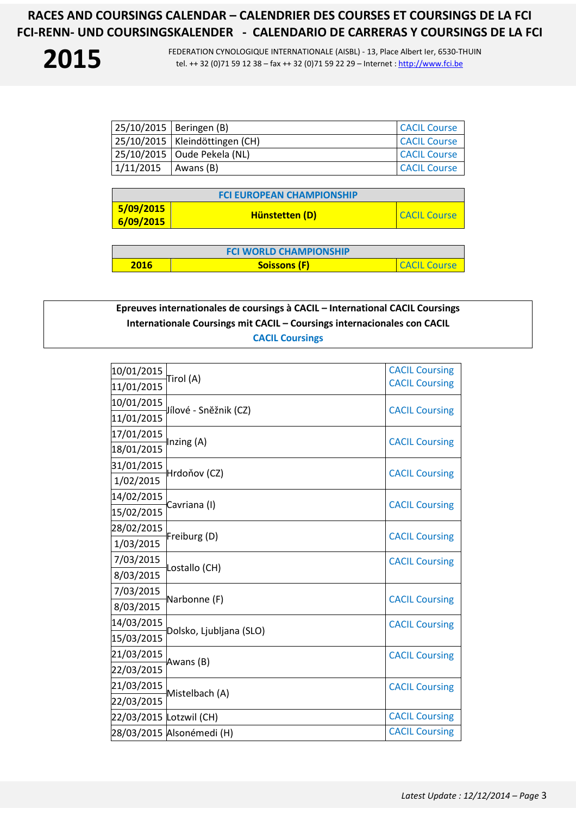FEDERATION CYNOLOGIQUE INTERNATIONALE (AISBL) - 13, Place Albert Ier, 6530-THUIN tel. ++ 32 (0)71 59 12 38 – fax ++ 32 (0)71 59 22 29 – Internet : http://www.fci.be

| 25/10/2015   Beringen (B) |                                  | <b>CACIL Course</b> |
|---------------------------|----------------------------------|---------------------|
|                           | 25/10/2015   Kleindöttingen (CH) | <b>CACIL Course</b> |
|                           | 25/10/2015   Oude Pekela (NL)    | <b>CACIL Course</b> |
| 1/11/2015                 | Awans (B)                        | <b>CACIL Course</b> |

| <b>FCI EUROPEAN CHAMPIONSHIP</b> |                |                     |
|----------------------------------|----------------|---------------------|
| 5/09/2015<br>  6/09/2015         | Hünstetten (D) | <b>CACIL Course</b> |

| <b>FCI WORLD CHAMPIONSHIP</b> |                     |                                 |
|-------------------------------|---------------------|---------------------------------|
| 2016                          | <b>Soissons (F)</b> | <b><i>CACIL</i></b><br>. Course |

## **Epreuves internationales de coursings à CACIL – International CACIL Coursings Internationale Coursings mit CACIL – Coursings internacionales con CACIL CACIL Coursings**

| 10/01/2015              | Tirol (A)                 | <b>CACIL Coursing</b> |
|-------------------------|---------------------------|-----------------------|
| 11/01/2015              |                           | <b>CACIL Coursing</b> |
| 10/01/2015              |                           |                       |
| 11/01/2015              | Jílové - Sněžnik (CZ)     | <b>CACIL Coursing</b> |
| 17/01/2015              |                           |                       |
| 18/01/2015              | Inzing (A)                | <b>CACIL Coursing</b> |
| 31/01/2015              | Hrdoňov (CZ)              |                       |
| 1/02/2015               |                           | <b>CACIL Coursing</b> |
| 14/02/2015              | Cavriana (I)              | <b>CACIL Coursing</b> |
| 15/02/2015              |                           |                       |
| 28/02/2015              | Freiburg (D)              | <b>CACIL Coursing</b> |
| 1/03/2015               |                           |                       |
| 7/03/2015               | Lostallo (CH)             | <b>CACIL Coursing</b> |
| 8/03/2015               |                           |                       |
| 7/03/2015               |                           |                       |
| 8/03/2015               | Narbonne (F)              | <b>CACIL Coursing</b> |
| 14/03/2015              | Dolsko, Ljubljana (SLO)   | <b>CACIL Coursing</b> |
| 15/03/2015              |                           |                       |
| 21/03/2015              |                           | <b>CACIL Coursing</b> |
| 22/03/2015              | Awans (B)                 |                       |
| 21/03/2015              | Mistelbach (A)            | <b>CACIL Coursing</b> |
| 22/03/2015              |                           |                       |
| 22/03/2015 Lotzwil (CH) |                           | <b>CACIL Coursing</b> |
|                         | 28/03/2015 Alsonémedi (H) | <b>CACIL Coursing</b> |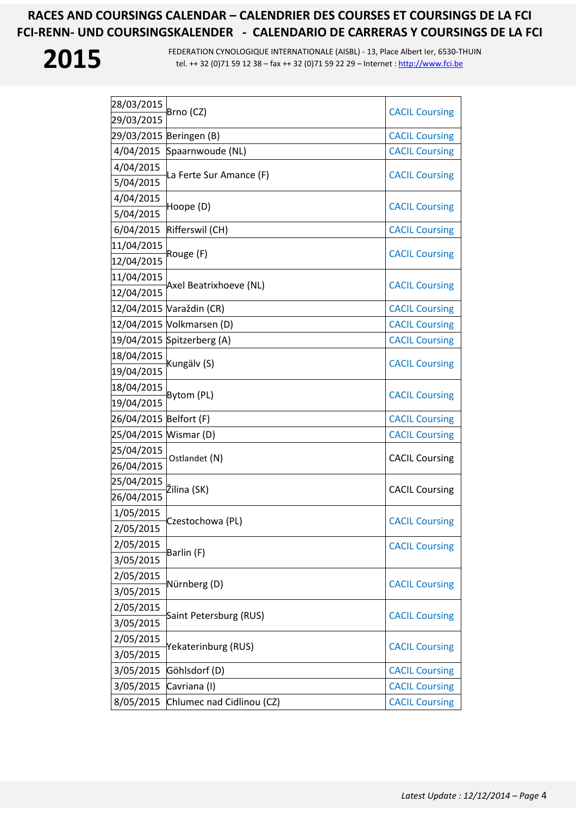| 28/03/2015             | Brno (CZ)                  | <b>CACIL Coursing</b> |
|------------------------|----------------------------|-----------------------|
| 29/03/2015             |                            |                       |
|                        | 29/03/2015 Beringen (B)    | <b>CACIL Coursing</b> |
| 4/04/2015              | Spaarnwoude (NL)           | <b>CACIL Coursing</b> |
| 4/04/2015              |                            | <b>CACIL Coursing</b> |
| 5/04/2015              | La Ferte Sur Amance (F)    |                       |
| 4/04/2015              | Hoope (D)                  | <b>CACIL Coursing</b> |
| 5/04/2015              |                            |                       |
| 6/04/2015              | Rifferswil (CH)            | <b>CACIL Coursing</b> |
| 11/04/2015             | Rouge (F)                  | <b>CACIL Coursing</b> |
| 12/04/2015             |                            |                       |
| 11/04/2015             | Axel Beatrixhoeve (NL)     | <b>CACIL Coursing</b> |
| 12/04/2015             |                            |                       |
|                        | 12/04/2015 Varaždin (CR)   | <b>CACIL Coursing</b> |
|                        | 12/04/2015 Volkmarsen (D)  | <b>CACIL Coursing</b> |
|                        | 19/04/2015 Spitzerberg (A) | <b>CACIL Coursing</b> |
| 18/04/2015             | Kungälv (S)                | <b>CACIL Coursing</b> |
| 19/04/2015             |                            |                       |
| 18/04/2015             | Bytom (PL)                 | <b>CACIL Coursing</b> |
| 19/04/2015             |                            |                       |
| 26/04/2015 Belfort (F) |                            | <b>CACIL Coursing</b> |
| 25/04/2015 Wismar (D)  |                            | <b>CACIL Coursing</b> |
| 25/04/2015             | Ostlandet (N)              | <b>CACIL Coursing</b> |
| 26/04/2015             |                            |                       |
| 25/04/2015             | Žilina (SK)                | <b>CACIL Coursing</b> |
| 26/04/2015             |                            |                       |
| 1/05/2015              | Czestochowa (PL)           | <b>CACIL Coursing</b> |
| 2/05/2015              |                            |                       |
| 2/05/2015              | Barlin (F)                 | <b>CACIL Coursing</b> |
| 3/05/2015              |                            |                       |
| 2/05/2015              | Nürnberg (D)               | <b>CACIL Coursing</b> |
| 3/05/2015              |                            |                       |
| 2/05/2015              | Saint Petersburg (RUS)     | <b>CACIL Coursing</b> |
| 3/05/2015              |                            |                       |
| 2/05/2015              | Yekaterinburg (RUS)        | <b>CACIL Coursing</b> |
| 3/05/2015              |                            |                       |
| 3/05/2015              | Göhlsdorf (D)              | <b>CACIL Coursing</b> |
| 3/05/2015              | Cavriana (I)               | <b>CACIL Coursing</b> |
| 8/05/2015              | Chlumec nad Cidlinou (CZ)  | <b>CACIL Coursing</b> |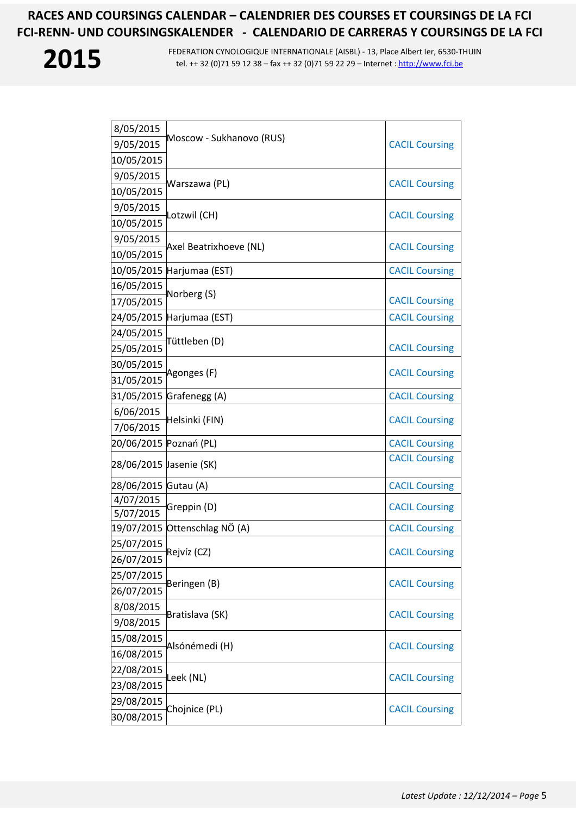

| 8/05/2015               |                               |                       |
|-------------------------|-------------------------------|-----------------------|
| 9/05/2015               | Moscow - Sukhanovo (RUS)      | <b>CACIL Coursing</b> |
| 10/05/2015              |                               |                       |
| 9/05/2015               |                               |                       |
| 10/05/2015              | Warszawa (PL)                 | <b>CACIL Coursing</b> |
| 9/05/2015               |                               |                       |
| 10/05/2015              | Lotzwil (CH)                  | <b>CACIL Coursing</b> |
| 9/05/2015               |                               |                       |
| 10/05/2015              | Axel Beatrixhoeve (NL)        | <b>CACIL Coursing</b> |
|                         | 10/05/2015 Harjumaa (EST)     | <b>CACIL Coursing</b> |
| 16/05/2015              |                               |                       |
| 17/05/2015              | Norberg (S)                   | <b>CACIL Coursing</b> |
|                         | 24/05/2015 Harjumaa (EST)     | <b>CACIL Coursing</b> |
| 24/05/2015              |                               |                       |
| 25/05/2015              | Tüttleben (D)                 | <b>CACIL Coursing</b> |
| 30/05/2015              |                               | <b>CACIL Coursing</b> |
| 31/05/2015              | Agonges (F)                   |                       |
|                         | 31/05/2015 Grafenegg (A)      | <b>CACIL Coursing</b> |
| 6/06/2015               | Helsinki (FIN)                |                       |
| 7/06/2015               |                               | <b>CACIL Coursing</b> |
| 20/06/2015 Poznań (PL)  |                               | <b>CACIL Coursing</b> |
| 28/06/2015 Jasenie (SK) |                               | <b>CACIL Coursing</b> |
| 28/06/2015 Gutau (A)    |                               | <b>CACIL Coursing</b> |
| 4/07/2015               | Greppin (D)                   | <b>CACIL Coursing</b> |
| 5/07/2015               |                               |                       |
|                         | 19/07/2015 Ottenschlag NÖ (A) | <b>CACIL Coursing</b> |
| 25/07/2015              | Rejvíz (CZ)                   | <b>CACIL Coursing</b> |
| 26/07/2015              |                               |                       |
| 25/07/2015              | Beringen (B)                  | <b>CACIL Coursing</b> |
| 26/07/2015              |                               |                       |
| 8/08/2015               | Bratislava (SK)               | <b>CACIL Coursing</b> |
| 9/08/2015               |                               |                       |
| 15/08/2015              | Alsónémedi (H)                | <b>CACIL Coursing</b> |
| 16/08/2015              |                               |                       |
| 22/08/2015              | Leek (NL)                     | <b>CACIL Coursing</b> |
| 23/08/2015              |                               |                       |
| 29/08/2015              | Chojnice (PL)                 | <b>CACIL Coursing</b> |
| 30/08/2015              |                               |                       |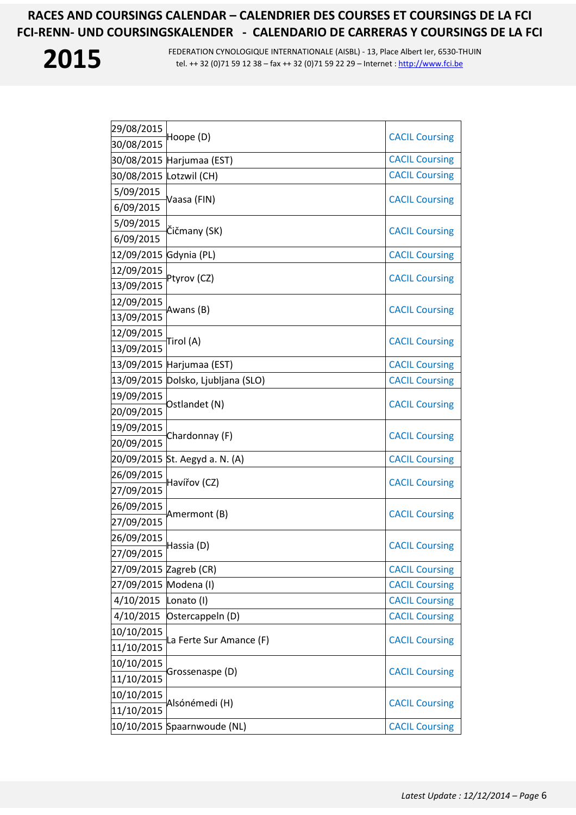

| 29/08/2015              |                                    |                       |
|-------------------------|------------------------------------|-----------------------|
| 30/08/2015              | Hoope (D)                          | <b>CACIL Coursing</b> |
|                         | 30/08/2015 Harjumaa (EST)          | <b>CACIL Coursing</b> |
| 30/08/2015 Lotzwil (CH) |                                    | <b>CACIL Coursing</b> |
| 5/09/2015               |                                    |                       |
| 6/09/2015               | Vaasa (FIN)                        | <b>CACIL Coursing</b> |
| 5/09/2015               |                                    |                       |
| 6/09/2015               | Čičmany (SK)                       | <b>CACIL Coursing</b> |
| 12/09/2015 Gdynia (PL)  |                                    | <b>CACIL Coursing</b> |
| 12/09/2015              | Ptyrov (CZ)                        | <b>CACIL Coursing</b> |
| 13/09/2015              |                                    |                       |
| 12/09/2015              | Awans (B)                          | <b>CACIL Coursing</b> |
| 13/09/2015              |                                    |                       |
| 12/09/2015              | Tirol (A)                          | <b>CACIL Coursing</b> |
| 13/09/2015              |                                    |                       |
|                         | 13/09/2015 Harjumaa (EST)          | <b>CACIL Coursing</b> |
|                         | 13/09/2015 Dolsko, Ljubljana (SLO) | <b>CACIL Coursing</b> |
| 19/09/2015              | Ostlandet (N)                      | <b>CACIL Coursing</b> |
| 20/09/2015              |                                    |                       |
| 19/09/2015              | Chardonnay (F)                     | <b>CACIL Coursing</b> |
| 20/09/2015              |                                    |                       |
|                         | 20/09/2015 St. Aegyd a. N. (A)     | <b>CACIL Coursing</b> |
| 26/09/2015              | Havířov (CZ)                       | <b>CACIL Coursing</b> |
| 27/09/2015              |                                    |                       |
| 26/09/2015              | Amermont (B)                       | <b>CACIL Coursing</b> |
| 27/09/2015              |                                    |                       |
| 26/09/2015              | Hassia (D)                         | <b>CACIL Coursing</b> |
| 27/09/2015              |                                    |                       |
| 27/09/2015 Zagreb (CR)  |                                    | <b>CACIL Coursing</b> |
| 27/09/2015 Modena (I)   |                                    | <b>CACIL Coursing</b> |
| 4/10/2015               | Lonato (I)                         | <b>CACIL Coursing</b> |
| 4/10/2015               | Ostercappeln (D)                   | <b>CACIL Coursing</b> |
| 10/10/2015              | La Ferte Sur Amance (F)            | <b>CACIL Coursing</b> |
| 11/10/2015              |                                    |                       |
| 10/10/2015              | Grossenaspe (D)                    | <b>CACIL Coursing</b> |
| 11/10/2015              |                                    |                       |
| 10/10/2015              | Alsónémedi (H)                     | <b>CACIL Coursing</b> |
| 11/10/2015              |                                    |                       |
|                         | 10/10/2015 Spaarnwoude (NL)        | <b>CACIL Coursing</b> |